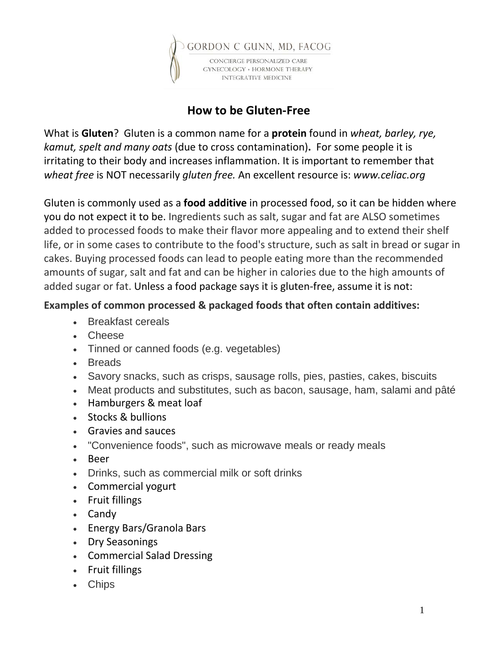

## **How to be Gluten-Free**

What is **Gluten**?Gluten is a common name for a **protein** found in *wheat, barley, rye, kamut, spelt and many oats* (due to cross contamination)**.** For some people it is irritating to their body and increases inflammation. It is important to remember that *wheat free* is NOT necessarily *gluten free.* An excellent resource is: *www.celiac.org*

Gluten is commonly used as a **food additive** in processed food, so it can be hidden where you do not expect it to be. Ingredients such as salt, sugar and fat are ALSO sometimes added to processed foods to make their flavor more appealing and to extend their shelf life, or in some cases to contribute to the food's structure, such as salt in bread or sugar in cakes. Buying processed foods can lead to people eating more than the recommended amounts of sugar, salt and fat and can be higher in calories due to the high amounts of added sugar or fat. Unless a food package says it is gluten-free, assume it is not:

## **Examples of common processed & packaged foods that often contain additives:**

- Breakfast cereals
- Cheese
- Tinned or canned foods (e.g. vegetables)
- Breads
- Savory snacks, such as crisps, sausage rolls, pies, pasties, cakes, biscuits
- Meat products and substitutes, such as bacon, sausage, ham, salami and pâté
- Hamburgers & meat loaf
- Stocks & bullions
- Gravies and sauces
- "Convenience foods", such as microwave meals or ready meals
- Beer
- Drinks, such as commercial milk or soft drinks
- Commercial yogurt
- Fruit fillings
- Candy
- Energy Bars/Granola Bars
- Dry Seasonings
- Commercial Salad Dressing
- Fruit fillings
- Chips